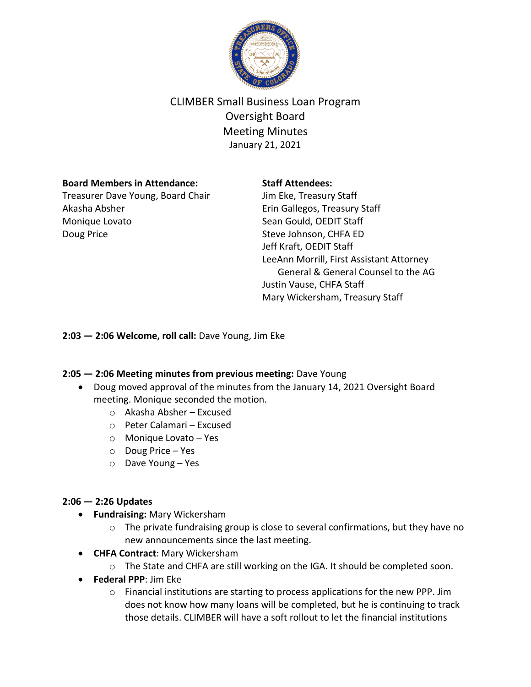

# CLIMBER Small Business Loan Program Oversight Board Meeting Minutes January 21, 2021

## **Board Members in Attendance:**

Treasurer Dave Young, Board Chair Akasha Absher Monique Lovato Doug Price

## **Staff Attendees:**

Jim Eke, Treasury Staff Erin Gallegos, Treasury Staff Sean Gould, OEDIT Staff Steve Johnson, CHFA ED Jeff Kraft, OEDIT Staff LeeAnn Morrill, First Assistant Attorney General & General Counsel to the AG Justin Vause, CHFA Staff Mary Wickersham, Treasury Staff

**2:03 — 2:06 Welcome, roll call:** Dave Young, Jim Eke

# **2:05 — 2:06 Meeting minutes from previous meeting:** Dave Young

- Doug moved approval of the minutes from the January 14, 2021 Oversight Board meeting. Monique seconded the motion.
	- o Akasha Absher Excused
	- o Peter Calamari Excused
	- o Monique Lovato Yes
	- o Doug Price Yes
	- o Dave Young Yes

# **2:06 — 2:26 Updates**

- **Fundraising:** Mary Wickersham
	- o The private fundraising group is close to several confirmations, but they have no new announcements since the last meeting.
- **CHFA Contract**: Mary Wickersham
	- o The State and CHFA are still working on the IGA. It should be completed soon.
- **Federal PPP**: Jim Eke
	- $\circ$  Financial institutions are starting to process applications for the new PPP. Jim does not know how many loans will be completed, but he is continuing to track those details. CLIMBER will have a soft rollout to let the financial institutions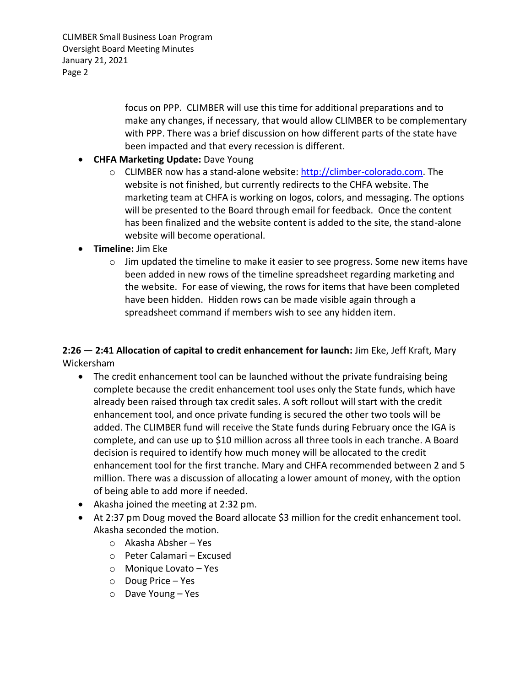CLIMBER Small Business Loan Program Oversight Board Meeting Minutes January 21, 2021 Page 2

> focus on PPP. CLIMBER will use this time for additional preparations and to make any changes, if necessary, that would allow CLIMBER to be complementary with PPP. There was a brief discussion on how different parts of the state have been impacted and that every recession is different.

- **CHFA Marketing Update:** Dave Young
	- $\circ$  CLIMBER now has a stand-alone website: [http://climber-colorado.com.](http://climber-colorado.com/) The website is not finished, but currently redirects to the CHFA website. The marketing team at CHFA is working on logos, colors, and messaging. The options will be presented to the Board through email for feedback. Once the content has been finalized and the website content is added to the site, the stand-alone website will become operational.
- **Timeline:** Jim Eke
	- $\circ$  Jim updated the timeline to make it easier to see progress. Some new items have been added in new rows of the timeline spreadsheet regarding marketing and the website. For ease of viewing, the rows for items that have been completed have been hidden. Hidden rows can be made visible again through a spreadsheet command if members wish to see any hidden item.

**2:26 — 2:41 Allocation of capital to credit enhancement for launch:** Jim Eke, Jeff Kraft, Mary Wickersham

- The credit enhancement tool can be launched without the private fundraising being complete because the credit enhancement tool uses only the State funds, which have already been raised through tax credit sales. A soft rollout will start with the credit enhancement tool, and once private funding is secured the other two tools will be added. The CLIMBER fund will receive the State funds during February once the IGA is complete, and can use up to \$10 million across all three tools in each tranche. A Board decision is required to identify how much money will be allocated to the credit enhancement tool for the first tranche. Mary and CHFA recommended between 2 and 5 million. There was a discussion of allocating a lower amount of money, with the option of being able to add more if needed.
- Akasha joined the meeting at 2:32 pm.
- At 2:37 pm Doug moved the Board allocate \$3 million for the credit enhancement tool. Akasha seconded the motion.
	- o Akasha Absher Yes
	- o Peter Calamari Excused
	- o Monique Lovato Yes
	- o Doug Price Yes
	- o Dave Young Yes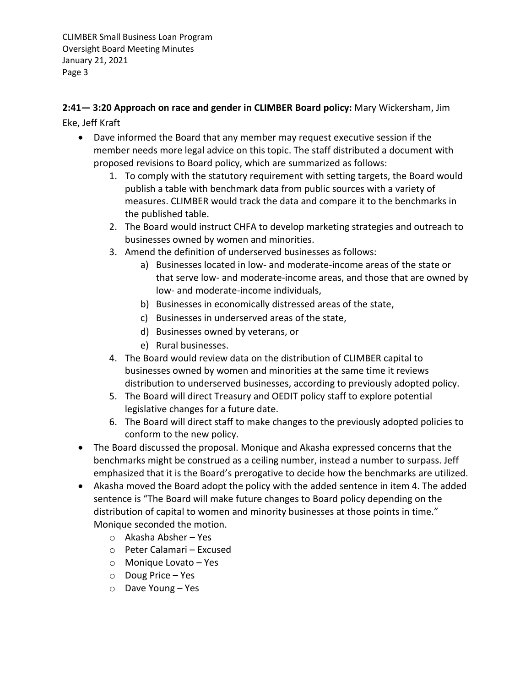CLIMBER Small Business Loan Program Oversight Board Meeting Minutes January 21, 2021 Page 3

**2:41— 3:20 Approach on race and gender in CLIMBER Board policy:** Mary Wickersham, Jim Eke, Jeff Kraft

- Dave informed the Board that any member may request executive session if the member needs more legal advice on this topic. The staff distributed a document with proposed revisions to Board policy, which are summarized as follows:
	- 1. To comply with the statutory requirement with setting targets, the Board would publish a table with benchmark data from public sources with a variety of measures. CLIMBER would track the data and compare it to the benchmarks in the published table.
	- 2. The Board would instruct CHFA to develop marketing strategies and outreach to businesses owned by women and minorities.
	- 3. Amend the definition of underserved businesses as follows:
		- a) Businesses located in low- and moderate-income areas of the state or that serve low- and moderate-income areas, and those that are owned by low- and moderate-income individuals,
		- b) Businesses in economically distressed areas of the state,
		- c) Businesses in underserved areas of the state,
		- d) Businesses owned by veterans, or
		- e) Rural businesses.
	- 4. The Board would review data on the distribution of CLIMBER capital to businesses owned by women and minorities at the same time it reviews distribution to underserved businesses, according to previously adopted policy.
	- 5. The Board will direct Treasury and OEDIT policy staff to explore potential legislative changes for a future date.
	- 6. The Board will direct staff to make changes to the previously adopted policies to conform to the new policy.
- The Board discussed the proposal. Monique and Akasha expressed concerns that the benchmarks might be construed as a ceiling number, instead a number to surpass. Jeff emphasized that it is the Board's prerogative to decide how the benchmarks are utilized.
- Akasha moved the Board adopt the policy with the added sentence in item 4. The added sentence is "The Board will make future changes to Board policy depending on the distribution of capital to women and minority businesses at those points in time." Monique seconded the motion.
	- o Akasha Absher Yes
	- o Peter Calamari Excused
	- o Monique Lovato Yes
	- o Doug Price Yes
	- o Dave Young Yes